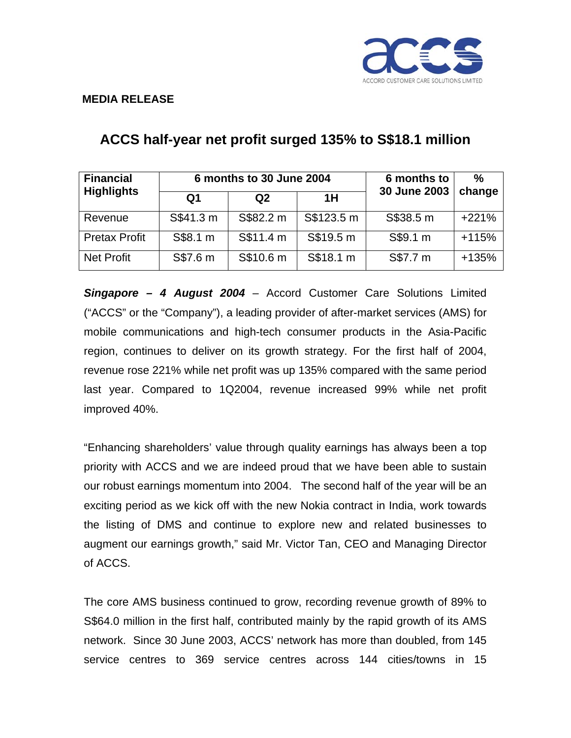

### **MEDIA RELEASE**

| <b>Financial</b><br><b>Highlights</b> | 6 months to 30 June 2004 |                |            | 6 months to  | $\%$    |
|---------------------------------------|--------------------------|----------------|------------|--------------|---------|
|                                       | Q <sub>1</sub>           | Q <sub>2</sub> | 1H         | 30 June 2003 | change  |
| Revenue                               | S\$41.3 m                | S\$82.2 m      | S\$123.5 m | S\$38.5 m    | $+221%$ |
| <b>Pretax Profit</b>                  | S\$8.1 m                 | S\$11.4 m      | S\$19.5 m  | S\$9.1 m     | $+115%$ |
| <b>Net Profit</b>                     | S\$7.6 m                 | S\$10.6 m      | S\$18.1 m  | S\$7.7 m     | $+135%$ |

# **ACCS half-year net profit surged 135% to S\$18.1 million**

*Singapore – 4 August 2004* – Accord Customer Care Solutions Limited ("ACCS" or the "Company"), a leading provider of after-market services (AMS) for mobile communications and high-tech consumer products in the Asia-Pacific region, continues to deliver on its growth strategy. For the first half of 2004, revenue rose 221% while net profit was up 135% compared with the same period last year. Compared to 1Q2004, revenue increased 99% while net profit improved 40%.

"Enhancing shareholders' value through quality earnings has always been a top priority with ACCS and we are indeed proud that we have been able to sustain our robust earnings momentum into 2004. The second half of the year will be an exciting period as we kick off with the new Nokia contract in India, work towards the listing of DMS and continue to explore new and related businesses to augment our earnings growth," said Mr. Victor Tan, CEO and Managing Director of ACCS.

The core AMS business continued to grow, recording revenue growth of 89% to S\$64.0 million in the first half, contributed mainly by the rapid growth of its AMS network. Since 30 June 2003, ACCS' network has more than doubled, from 145 service centres to 369 service centres across 144 cities/towns in 15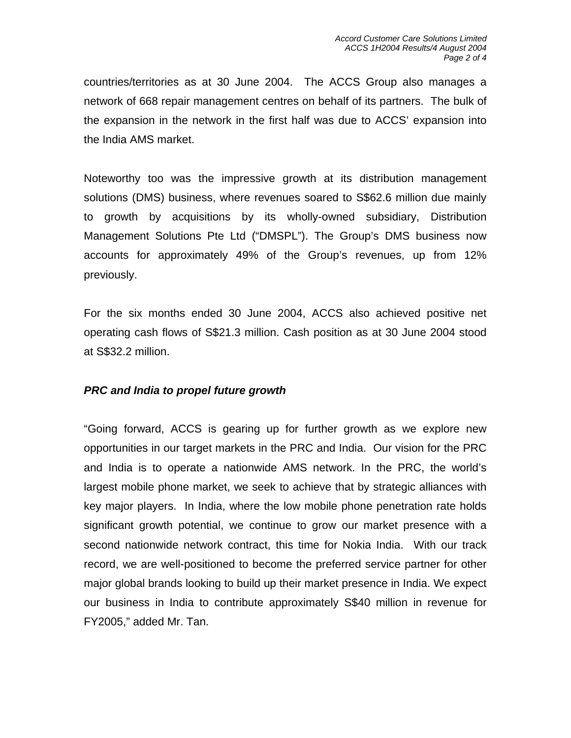countries/territories as at 30 June 2004. The ACCS Group also manages a network of 668 repair management centres on behalf of its partners. The bulk of the expansion in the network in the first half was due to ACCS' expansion into the India AMS market.

Noteworthy too was the impressive growth at its distribution management solutions (DMS) business, where revenues soared to S\$62.6 million due mainly to growth by acquisitions by its wholly-owned subsidiary, Distribution Management Solutions Pte Ltd ("DMSPL"). The Group's DMS business now accounts for approximately 49% of the Group's revenues, up from 12% previously.

For the six months ended 30 June 2004, ACCS also achieved positive net operating cash flows of S\$21.3 million. Cash position as at 30 June 2004 stood at S\$32.2 million.

# *PRC and India to propel future growth*

"Going forward, ACCS is gearing up for further growth as we explore new opportunities in our target markets in the PRC and India. Our vision for the PRC and India is to operate a nationwide AMS network. In the PRC, the world's largest mobile phone market, we seek to achieve that by strategic alliances with key major players. In India, where the low mobile phone penetration rate holds significant growth potential, we continue to grow our market presence with a second nationwide network contract, this time for Nokia India. With our track record, we are well-positioned to become the preferred service partner for other major global brands looking to build up their market presence in India. We expect our business in India to contribute approximately S\$40 million in revenue for FY2005," added Mr. Tan.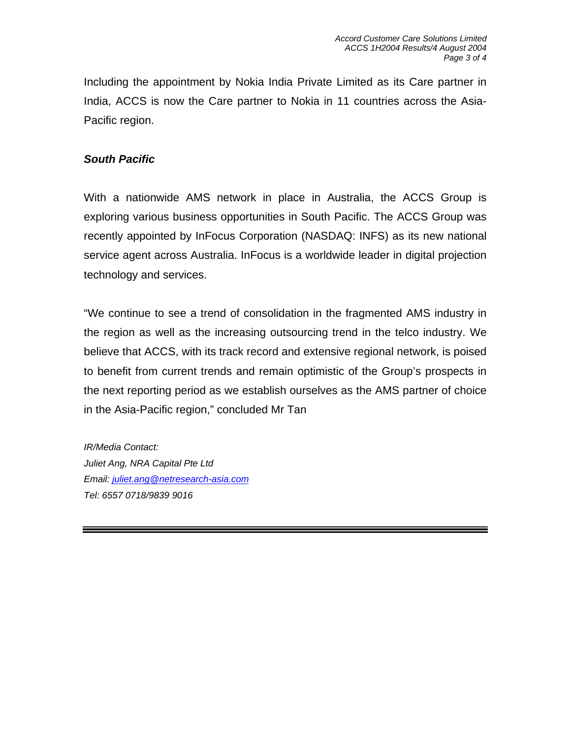Including the appointment by Nokia India Private Limited as its Care partner in India, ACCS is now the Care partner to Nokia in 11 countries across the Asia-Pacific region.

## *South Pacific*

With a nationwide AMS network in place in Australia, the ACCS Group is exploring various business opportunities in South Pacific. The ACCS Group was recently appointed by InFocus Corporation (NASDAQ: INFS) as its new national service agent across Australia. InFocus is a worldwide leader in digital projection technology and services.

"We continue to see a trend of consolidation in the fragmented AMS industry in the region as well as the increasing outsourcing trend in the telco industry. We believe that ACCS, with its track record and extensive regional network, is poised to benefit from current trends and remain optimistic of the Group's prospects in the next reporting period as we establish ourselves as the AMS partner of choice in the Asia-Pacific region," concluded Mr Tan

*IR/Media Contact: Juliet Ang, NRA Capital Pte Ltd Email: juliet.ang@netresearch-asia.com Tel: 6557 0718/9839 9016*